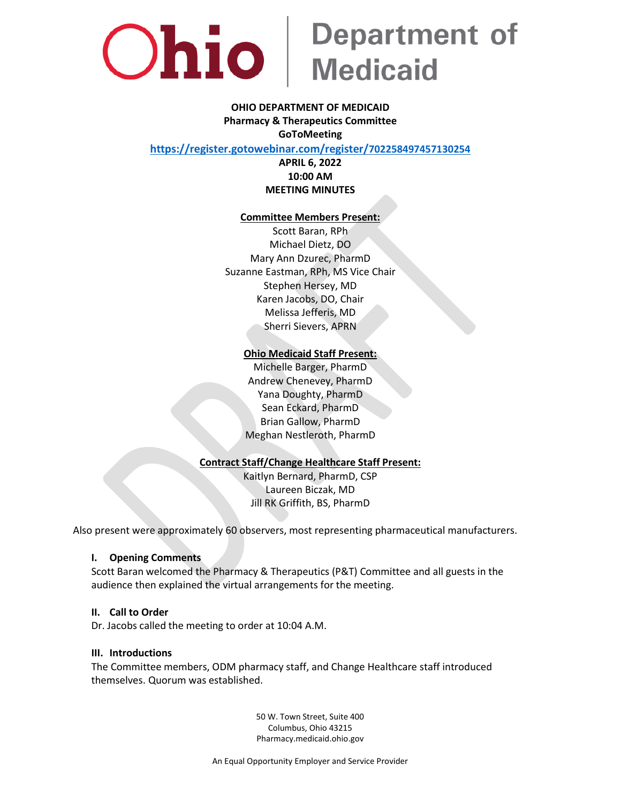

# Ohio Bepartment of

## **OHIO DEPARTMENT OF MEDICAID Pharmacy & Therapeutics Committee GoToMeeting**

**[https://register.gotowebinar.com/register/](https://register.gotowebinar.com/register/702258497457130254)70225849745713025[4](https://register.gotowebinar.com/register/702258497457130254)**

**APRIL 6, 2022 10:00 AM MEETING MINUTES**

#### **Committee Members Present:**

Scott Baran, RPh Michael Dietz, DO Mary Ann Dzurec, PharmD Suzanne Eastman, RPh, MS Vice Chair Stephen Hersey, MD Karen Jacobs, DO, Chair Melissa Jefferis, MD Sherri Sievers, APRN

#### **Ohio Medicaid Staff Present:**

Michelle Barger, PharmD Andrew Chenevey, PharmD Yana Doughty, PharmD Sean Eckard, PharmD Brian Gallow, PharmD Meghan Nestleroth, PharmD

## **Contract Staff/Change Healthcare Staff Present:**

Kaitlyn Bernard, PharmD, CSP Laureen Biczak, MD Jill RK Griffith, BS, PharmD

Also present were approximately 60 observers, most representing pharmaceutical manufacturers.

#### **I. Opening Comments**

Scott Baran welcomed the Pharmacy & Therapeutics (P&T) Committee and all guests in the audience then explained the virtual arrangements for the meeting.

#### **II. Call to Order**

Dr. Jacobs called the meeting to order at 10:04 A.M.

#### **III. Introductions**

The Committee members, ODM pharmacy staff, and Change Healthcare staff introduced themselves. Quorum was established.

> 50 W. Town Street, Suite 400 Columbus, Ohio 43215 Pharmacy.medicaid.ohio.gov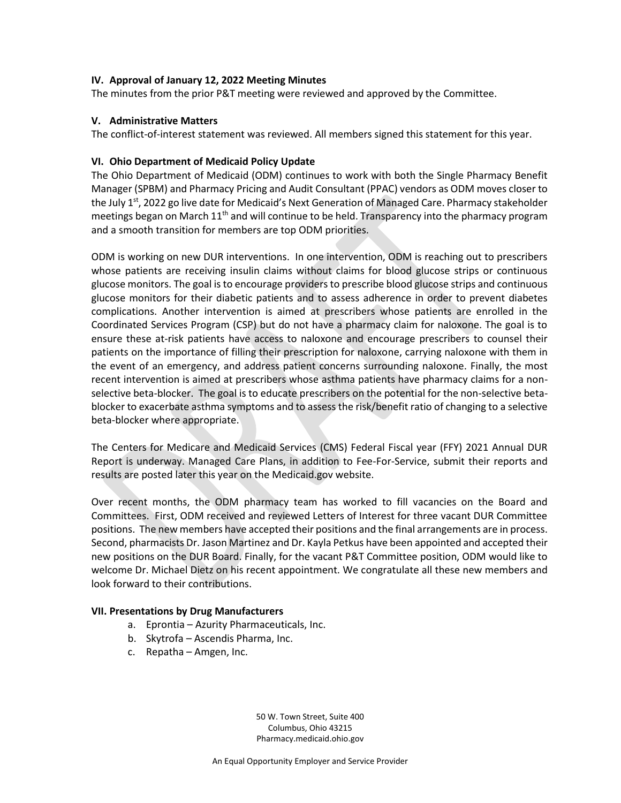#### **IV. Approval of January 12, 2022 Meeting Minutes**

The minutes from the prior P&T meeting were reviewed and approved by the Committee.

#### **V. Administrative Matters**

The conflict-of-interest statement was reviewed. All members signed this statement for this year.

#### **VI. Ohio Department of Medicaid Policy Update**

The Ohio Department of Medicaid (ODM) continues to work with both the Single Pharmacy Benefit Manager (SPBM) and Pharmacy Pricing and Audit Consultant (PPAC) vendors as ODM moves closer to the July 1<sup>st</sup>, 2022 go live date for Medicaid's Next Generation of Managed Care. Pharmacy stakeholder meetings began on March  $11<sup>th</sup>$  and will continue to be held. Transparency into the pharmacy program and a smooth transition for members are top ODM priorities.

ODM is working on new DUR interventions. In one intervention, ODM is reaching out to prescribers whose patients are receiving insulin claims without claims for blood glucose strips or continuous glucose monitors. The goal is to encourage providers to prescribe blood glucose strips and continuous glucose monitors for their diabetic patients and to assess adherence in order to prevent diabetes complications. Another intervention is aimed at prescribers whose patients are enrolled in the Coordinated Services Program (CSP) but do not have a pharmacy claim for naloxone. The goal is to ensure these at-risk patients have access to naloxone and encourage prescribers to counsel their patients on the importance of filling their prescription for naloxone, carrying naloxone with them in the event of an emergency, and address patient concerns surrounding naloxone. Finally, the most recent intervention is aimed at prescribers whose asthma patients have pharmacy claims for a nonselective beta-blocker. The goal is to educate prescribers on the potential for the non-selective betablocker to exacerbate asthma symptoms and to assess the risk/benefit ratio of changing to a selective beta-blocker where appropriate.

The Centers for Medicare and Medicaid Services (CMS) Federal Fiscal year (FFY) 2021 Annual DUR Report is underway. Managed Care Plans, in addition to Fee-For-Service, submit their reports and results are posted later this year on the Medicaid.gov website.

Over recent months, the ODM pharmacy team has worked to fill vacancies on the Board and Committees. First, ODM received and reviewed Letters of Interest for three vacant DUR Committee positions. The new members have accepted their positions and the final arrangements are in process. Second, pharmacists Dr. Jason Martinez and Dr. Kayla Petkus have been appointed and accepted their new positions on the DUR Board. Finally, for the vacant P&T Committee position, ODM would like to welcome Dr. Michael Dietz on his recent appointment. We congratulate all these new members and look forward to their contributions.

#### **VII. Presentations by Drug Manufacturers**

- a. Eprontia Azurity Pharmaceuticals, Inc.
- b. Skytrofa Ascendis Pharma, Inc.
- c. Repatha Amgen, Inc.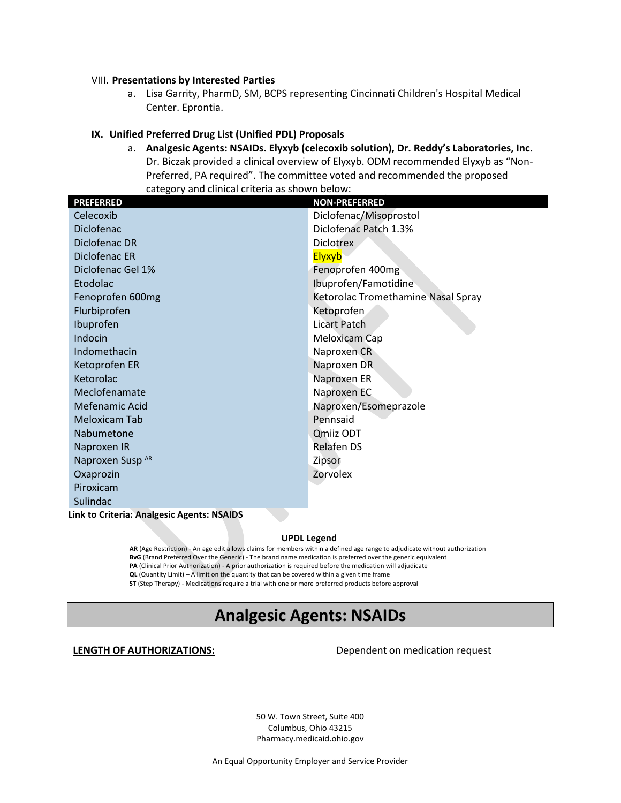#### VIII. **Presentations by Interested Parties**

a. Lisa Garrity, PharmD, SM, BCPS representing Cincinnati Children's Hospital Medical Center. Eprontia.

#### **IX. Unified Preferred Drug List (Unified PDL) Proposals**

a. **Analgesic Agents: NSAIDs. Elyxyb (celecoxib solution), Dr. Reddy's Laboratories, Inc.** Dr. Biczak provided a clinical overview of Elyxyb. ODM recommended Elyxyb as "Non-Preferred, PA required". The committee voted and recommended the proposed category and clinical criteria as shown below:

| <b>PREFERRED</b>            | <b>NON-PREFERRED</b>               |
|-----------------------------|------------------------------------|
| Celecoxib                   | Diclofenac/Misoprostol             |
| Diclofenac                  | Diclofenac Patch 1.3%              |
| Diclofenac DR               | <b>Diclotrex</b>                   |
| Diclofenac ER               | Elyxyb                             |
| Diclofenac Gel 1%           | Fenoprofen 400mg                   |
| Etodolac                    | Ibuprofen/Famotidine               |
| Fenoprofen 600mg            | Ketorolac Tromethamine Nasal Spray |
| Flurbiprofen                | Ketoprofen                         |
| Ibuprofen                   | Licart Patch                       |
| Indocin                     | Meloxicam Cap                      |
| Indomethacin                | Naproxen CR                        |
| Ketoprofen ER               | Naproxen DR                        |
| Ketorolac                   | Naproxen ER                        |
| Meclofenamate               | Naproxen EC                        |
| Mefenamic Acid              | Naproxen/Esomeprazole              |
| <b>Meloxicam Tab</b>        | Pennsaid                           |
| Nabumetone                  | Qmiiz ODT                          |
| Naproxen IR                 | Relafen DS                         |
| Naproxen Susp <sup>AR</sup> | Zipsor                             |
| Oxaprozin                   | Zorvolex                           |
| Piroxicam                   |                                    |
| Sulindac                    |                                    |
|                             |                                    |

**Link to Criteria: Analgesic Agents: NSAIDS**

#### **UPDL Legend**

**AR** (Age Restriction) - An age edit allows claims for members within a defined age range to adjudicate without authorization **BvG** (Brand Preferred Over the Generic) - The brand name medication is preferred over the generic equivalent **PA** (Clinical Prior Authorization) - A prior authorization is required before the medication will adjudicate **QL** (Quantity Limit) – A limit on the quantity that can be covered within a given time frame **ST** (Step Therapy) - Medications require a trial with one or more preferred products before approval

## **Analgesic Agents: NSAIDs**

**LENGTH OF AUTHORIZATIONS:** Dependent on medication request

50 W. Town Street, Suite 400 Columbus, Ohio 43215 Pharmacy.medicaid.ohio.gov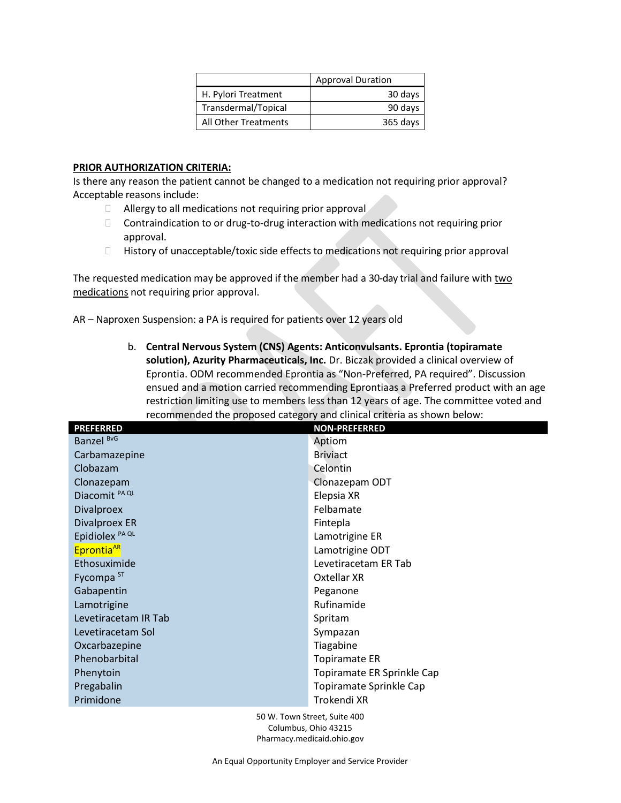|                      | <b>Approval Duration</b> |
|----------------------|--------------------------|
| H. Pylori Treatment  | 30 days                  |
| Transdermal/Topical  | 90 days                  |
| All Other Treatments | 365 days                 |

#### **PRIOR AUTHORIZATION CRITERIA:**

Is there any reason the patient cannot be changed to a medication not requiring prior approval? Acceptable reasons include:

- **C** Allergy to all medications not requiring prior approval
- $\Box$  Contraindication to or drug-to-drug interaction with medications not requiring prior approval.
- History of unacceptable/toxic side effects to medications not requiring prior approval

The requested medication may be approved if the member had a 30-day trial and failure with two medications not requiring prior approval.

AR – Naproxen Suspension: a PA is required for patients over 12 years old

b. **Central Nervous System (CNS) Agents: Anticonvulsants. Eprontia (topiramate solution), Azurity Pharmaceuticals, Inc.** Dr. Biczak provided a clinical overview of Eprontia. ODM recommended Eprontia as "Non-Preferred, PA required". Discussion ensued and a motion carried recommending Eprontiaas a Preferred product with an age restriction limiting use to members less than 12 years of age. The committee voted and recommended the proposed category and clinical criteria as shown below:

| <b>PREFERRED</b>           | <b>NON-PREFERRED</b>       |
|----------------------------|----------------------------|
| Banzel <sup>BvG</sup>      | Aptiom                     |
| Carbamazepine              | <b>Briviact</b>            |
| Clobazam                   | Celontin                   |
| Clonazepam                 | Clonazepam ODT             |
| Diacomit <sup>PAQL</sup>   | Elepsia XR                 |
| <b>Divalproex</b>          | Felbamate                  |
| <b>Divalproex ER</b>       | Fintepla                   |
| Epidiolex <sup>PA QL</sup> | Lamotrigine ER             |
| Eprontia <sup>AR</sup>     | Lamotrigine ODT            |
| Ethosuximide               | Levetiracetam ER Tab       |
| Fycompa <sup>ST</sup>      | Oxtellar XR                |
| Gabapentin                 | Peganone                   |
| Lamotrigine                | Rufinamide                 |
| Levetiracetam IR Tab       | Spritam                    |
| Levetiracetam Sol          | Sympazan                   |
| Oxcarbazepine              | Tiagabine                  |
| Phenobarbital              | <b>Topiramate ER</b>       |
| Phenytoin                  | Topiramate ER Sprinkle Cap |
| Pregabalin                 | Topiramate Sprinkle Cap    |
| Primidone                  | Trokendi XR                |
|                            |                            |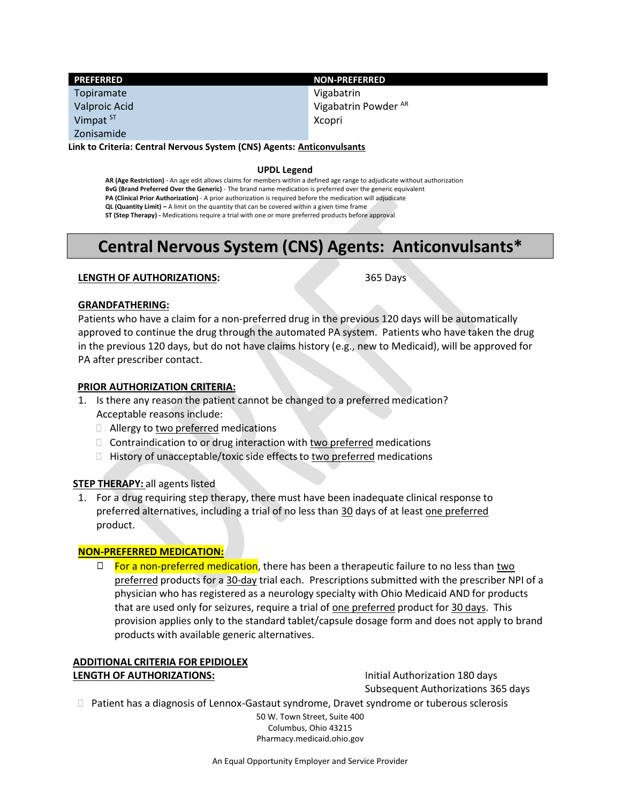| <b>PREFERRED</b>                                                        | <b>NON-PREFERRED</b>            |
|-------------------------------------------------------------------------|---------------------------------|
| Topiramate                                                              | Vigabatrin                      |
| Valproic Acid                                                           | Vigabatrin Powder <sup>AR</sup> |
| Vimpat <sup>ST</sup>                                                    | Xcopri                          |
| Zonisamide                                                              |                                 |
| Lielche Cuiteuin: Cantual Namigue Cuctome (CNC) Agante: Antiophynicante |                                 |

**Link to Criteria: Central Nervous System (CNS) Agents: Anticonvulsants**

#### **UPDL Legend**

**AR (Age Restriction)** - An age edit allows claims for members within a defined age range to adjudicate without authorization **BvG (Brand Preferred Over the Generic)** - The brand name medication is preferred over the generic equivalent **PA (Clinical Prior Authorization)** - A prior authorization is required before the medication will adjudicate **QL (Quantity Limit) –** A limit on the quantity that can be covered within a given time frame **ST (Step Therapy) -** Medications require a trial with one or more preferred products before approval

## **Central Nervous System (CNS) Agents: Anticonvulsants\***

#### **LENGTH OF AUTHORIZATIONS:** 365 Days

#### **GRANDFATHERING:**

Patients who have a claim for a non-preferred drug in the previous 120 days will be automatically approved to continue the drug through the automated PA system. Patients who have taken the drug in the previous 120 days, but do not have claims history (e.g., new to Medicaid), will be approved for PA after prescriber contact.

#### **PRIOR AUTHORIZATION CRITERIA:**

- 1. Is there any reason the patient cannot be changed to a preferred medication? Acceptable reasons include:
	- $\Box$  Allergy to two preferred medications
	- $\Box$  Contraindication to or drug interaction with two preferred medications
	- $\Box$  History of unacceptable/toxic side effects to two preferred medications

#### **STEP THERAPY:** all agents listed

1. For a drug requiring step therapy, there must have been inadequate clinical response to preferred alternatives, including a trial of no less than 30 days of at least one preferred product.

#### **NON-PREFERRED MEDICATION:**

 $\Box$  For a non-preferred medication, there has been a therapeutic failure to no less than two preferred products for a 30-day trial each. Prescriptions submitted with the prescriber NPI of a physician who has registered as a neurology specialty with Ohio Medicaid AND for products that are used only for seizures, require a trial of one preferred product for 30 days. This provision applies only to the standard tablet/capsule dosage form and does not apply to brand products with available generic alternatives.

#### **ADDITIONAL CRITERIA FOR EPIDIOLEX LENGTH OF AUTHORIZATIONS:** Initial Authorization 180 days

Subsequent Authorizations 365 days

 $\Box$  Patient has a diagnosis of Lennox-Gastaut syndrome, Dravet syndrome or tuberous sclerosis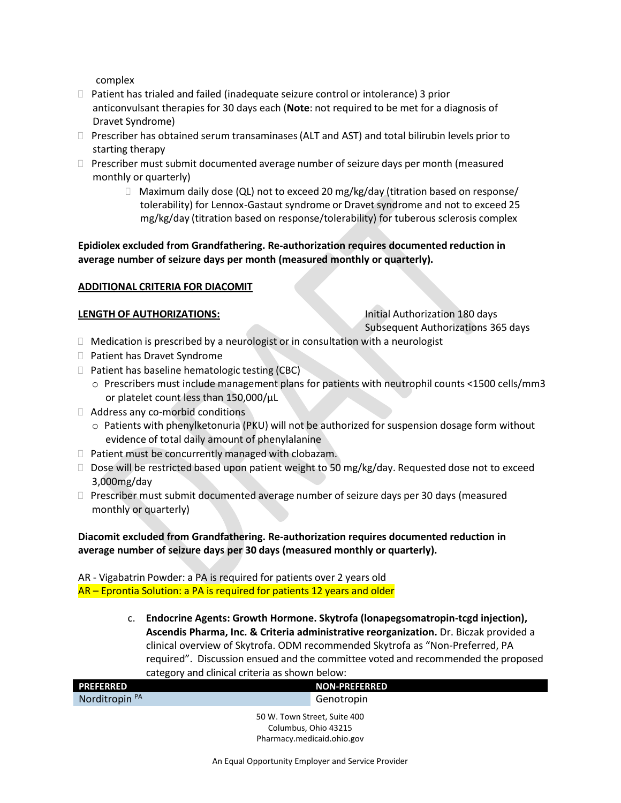complex

- Patient has trialed and failed (inadequate seizure control or intolerance) 3 prior anticonvulsant therapies for 30 days each (**Note**: not required to be met for a diagnosis of Dravet Syndrome)
- $\Box$  Prescriber has obtained serum transaminases (ALT and AST) and total bilirubin levels prior to starting therapy
- $\Box$  Prescriber must submit documented average number of seizure days per month (measured monthly or quarterly)
	- $\Box$  Maximum daily dose (QL) not to exceed 20 mg/kg/day (titration based on response/ tolerability) for Lennox-Gastaut syndrome or Dravet syndrome and not to exceed 25 mg/kg/day (titration based on response/tolerability) for tuberous sclerosis complex

**Epidiolex excluded from Grandfathering. Re-authorization requires documented reduction in average number of seizure days per month (measured monthly or quarterly).**

#### **ADDITIONAL CRITERIA FOR DIACOMIT**

#### **LENGTH OF AUTHORIZATIONS:** Initial Authorization 180 days

Subsequent Authorizations 365 days

- $\Box$  Medication is prescribed by a neurologist or in consultation with a neurologist
- □ Patient has Dravet Syndrome
- $\Box$  Patient has baseline hematologic testing (CBC)
	- o Prescribers must include management plans for patients with neutrophil counts <1500 cells/mm3 or platelet count less than 150,000/µL
- Address any co-morbid conditions
	- $\circ$  Patients with phenylketonuria (PKU) will not be authorized for suspension dosage form without evidence of total daily amount of phenylalanine
- $\Box$  Patient must be concurrently managed with clobazam.
- $\Box$  Dose will be restricted based upon patient weight to 50 mg/kg/day. Requested dose not to exceed 3,000mg/day
- Prescriber must submit documented average number of seizure days per 30 days (measured monthly or quarterly)

#### **Diacomit excluded from Grandfathering. Re-authorization requires documented reduction in average number of seizure days per 30 days (measured monthly or quarterly).**

AR - Vigabatrin Powder: a PA is required for patients over 2 years old AR – Eprontia Solution: a PA is required for patients 12 years and older

> c. **Endocrine Agents: Growth Hormone. Skytrofa (lonapegsomatropin-tcgd injection), Ascendis Pharma, Inc. & Criteria administrative reorganization.** Dr. Biczak provided a clinical overview of Skytrofa. ODM recommended Skytrofa as "Non-Preferred, PA required". Discussion ensued and the committee voted and recommended the proposed category and clinical criteria as shown below:

| <b>PREFERRED</b>             | <b>NON-PREFERRED</b> |  |
|------------------------------|----------------------|--|
| Norditropin <sup>PA</sup>    | Genotropin           |  |
| 50 W. Town Street, Suite 400 |                      |  |

Columbus, Ohio 43215 Pharmacy.medicaid.ohio.gov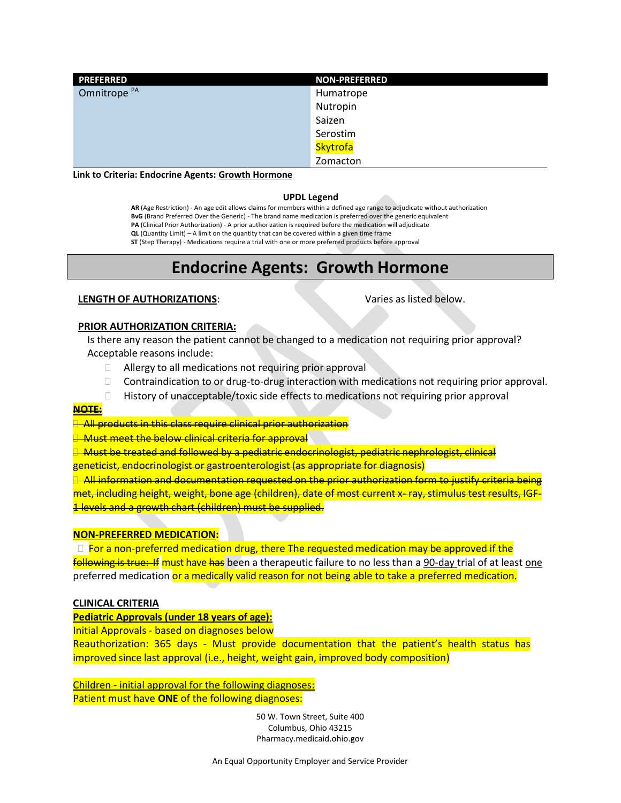| <b>PREFERRED</b>        | <b>NON-PREFERRED</b> |
|-------------------------|----------------------|
| Omnitrope <sup>PA</sup> | Humatrope            |
|                         | Nutropin             |
|                         | Saizen               |
|                         | Serostim             |
|                         | Skytrofa             |
|                         | Zomacton             |

**Link to Criteria: Endocrine Agents: Growth Hormone**

#### **UPDL Legend**

**AR** (Age Restriction) - An age edit allows claims for members within a defined age range to adjudicate without authorization **BvG** (Brand Preferred Over the Generic) - The brand name medication is preferred over the generic equivalent **PA** (Clinical Prior Authorization) - A prior authorization is required before the medication will adjudicate **QL** (Quantity Limit) – A limit on the quantity that can be covered within a given time frame

**ST** (Step Therapy) - Medications require a trial with one or more preferred products before approval

## **Endocrine Agents: Growth Hormone**

#### **LENGTH OF AUTHORIZATIONS:** Varies as listed below.

#### **PRIOR AUTHORIZATION CRITERIA:**

Is there any reason the patient cannot be changed to a medication not requiring prior approval? Acceptable reasons include:

- Allergy to all medications not requiring prior approval
- $\Box$  Contraindication to or drug-to-drug interaction with medications not requiring prior approval.
- History of unacceptable/toxic side effects to medications not requiring prior approval

#### **NOTE:**

<del>T</del>All products in this class require clinical prior authorization

**Must meet the below clinical criteria for approval** 

 Must be treated and followed by a pediatric endocrinologist, pediatric nephrologist, clinical geneticist, endocrinologist or gastroenterologist (as appropriate for diagnosis)

 $\rightarrow$  All information and documentation requested on the prior authorization form to justify criteria being met, including height, weight, bone age (children), date of most current x- ray, stimulus test results, IGF-1 levels and a growth chart (children) must be supplied.

#### **NON-PREFERRED MEDICATION:**

 For a non-preferred medication drug, there The requested medication may be approved if the following is true: If must have has been a therapeutic failure to no less than a 90-day trial of at least one preferred medication or a medically valid reason for not being able to take a preferred medication.

#### **CLINICAL CRITERIA**

**Pediatric Approvals (under 18 years of age):**

Initial Approvals - based on diagnoses below

Reauthorization: 365 days - Must provide documentation that the patient's health status has improved since last approval (i.e., height, weight gain, improved body composition)

Children - initial approval for the following diagnoses: Patient must have **ONE** of the following diagnoses: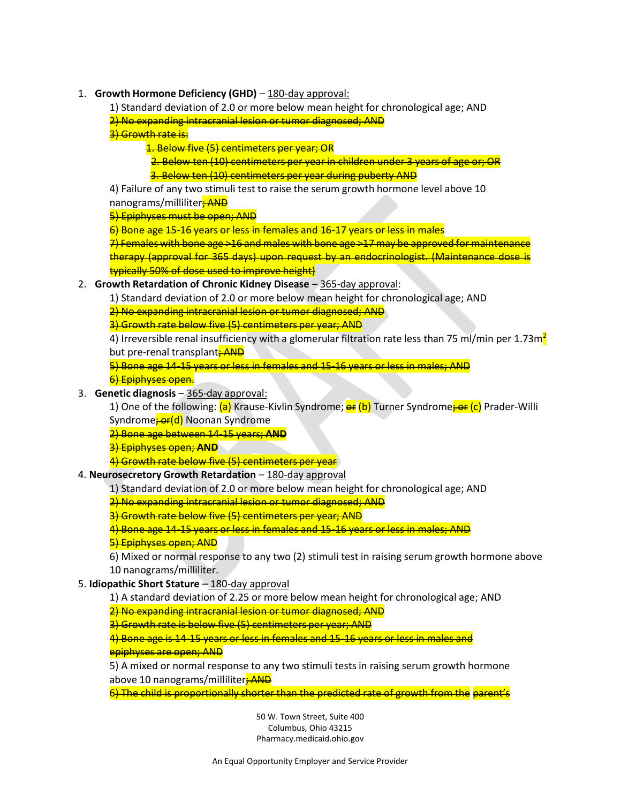- 1. **Growth Hormone Deficiency (GHD)** 180-day approval:
	- 1) Standard deviation of 2.0 or more below mean height for chronological age; AND
	- 2) No expanding intracranial lesion or tumor diagnosed; AND

3) Growth rate is:

- 1. Below five (5) centimeters per year; OR
- 2. Below ten (10) centimeters per year in children under 3 years of age or; OR
- 3. Below ten (10) centimeters per year during puberty AND

4) Failure of any two stimuli test to raise the serum growth hormone level above 10 nanograms/milliliter**; AND** 

5) Epiphyses must be open; AND

6) Bone age 15-16 years or less in females and 16-17 years or less in males

7) Females with bone age >16 and males with bone age >17 may be approved for maintenance therapy (approval for 365 days) upon request by an endocrinologist. (Maintenance dose is typically 50% of dose used to improve height)

- 2. **Growth Retardation of Chronic Kidney Disease** 365-day approval:
	- 1) Standard deviation of 2.0 or more below mean height for chronological age; AND
		- 2) No expanding intracranial lesion or tumor diagnosed; AND

3) Growth rate below five (5) centimeters per year; AND

4) Irreversible renal insufficiency with a glomerular filtration rate less than 75 ml/min per 1.73m<sup>2</sup> but pre-renal transplant<sub>;</sub> AND

5) Bone age 14-15 years or less in females and 15-16 years or less in males; AND

6) Epiphyses open.

3. **Genetic diagnosis** – 365-day approval:

1) One of the following: (a) Krause-Kivlin Syndrome; **ex** (b) Turner Syndrome<del>; or</del> (c) Prader-Willi Syndrome<del>; or(d)</del> Noonan Syndrome

2) Bone age between 14-15 years; **AND**

3) Epiphyses open; **AND**

4) Growth rate below five (5) centimeters per year

#### 4. **Neurosecretory Growth Retardation** – 180-day approval

1) Standard deviation of 2.0 or more below mean height for chronological age; AND

2) No expanding intracranial lesion or tumor diagnosed; AND

3) Growth rate below five (5) centimeters per year; AND

4) Bone age 14-15 years or less in females and 15-16 years or less in males; AND

5) Epiphyses open; AND

6) Mixed or normal response to any two (2) stimuli test in raising serum growth hormone above 10 nanograms/milliliter.

- 5. **Idiopathic Short Stature** 180-day approval
	- 1) A standard deviation of 2.25 or more below mean height for chronological age; AND

2) No expanding intracranial lesion or tumor diagnosed; AND

3) Growth rate is below five (5) centimeters per year; AND

4) Bone age is 14-15 years or less in females and 15-16 years or less in males and epiphyses are open; AND

5) A mixed or normal response to any two stimuli tests in raising serum growth hormone above 10 nanograms/milliliter<sub>;</sub> AND

6) The child is proportionally shorter than the predicted rate of growth from the parent's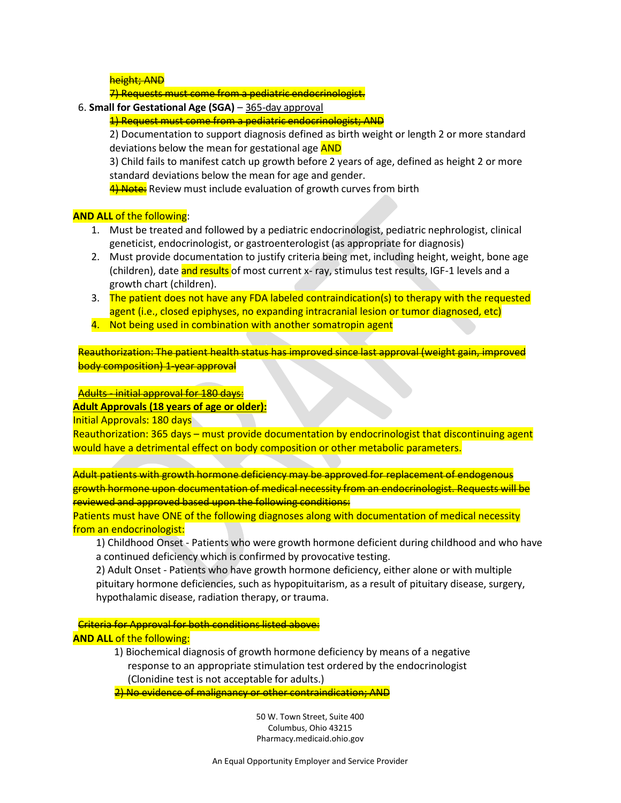height; AND

7) Requests must come from a pediatric endocrinologist.

- 6. **Small for Gestational Age (SGA)** 365-day approval
	- 1) Request must come from a pediatric endocrinologist; AND

2) Documentation to support diagnosis defined as birth weight or length 2 or more standard deviations below the mean for gestational age **AND** 

3) Child fails to manifest catch up growth before 2 years of age, defined as height 2 or more standard deviations below the mean for age and gender.

4) Note: Review must include evaluation of growth curves from birth

#### **AND ALL** of the following:

- 1. Must be treated and followed by a pediatric endocrinologist, pediatric nephrologist, clinical geneticist, endocrinologist, or gastroenterologist (as appropriate for diagnosis)
- 2. Must provide documentation to justify criteria being met, including height, weight, bone age (children), date and results of most current x- ray, stimulus test results, IGF-1 levels and a growth chart (children).
- 3. The patient does not have any FDA labeled contraindication(s) to therapy with the requested agent (i.e., closed epiphyses, no expanding intracranial lesion or tumor diagnosed, etc)
- 4. Not being used in combination with another somatropin agent

Reauthorization: The patient health status has improved since last approval (weight gain, improved body composition) 1-year approval

#### Adults - initial approval for 180 days:

#### **Adult Approvals (18 years of age or older):**

Initial Approvals: 180 days

Reauthorization: 365 days – must provide documentation by endocrinologist that discontinuing agent would have a detrimental effect on body composition or other metabolic parameters.

Adult patients with growth hormone deficiency may be approved for replacement of endogenous growth hormone upon documentation of medical necessity from an endocrinologist. Requests will be reviewed and approved based upon the following conditions:

Patients must have ONE of the following diagnoses along with documentation of medical necessity from an endocrinologist:

1) Childhood Onset - Patients who were growth hormone deficient during childhood and who have a continued deficiency which is confirmed by provocative testing.

2) Adult Onset - Patients who have growth hormone deficiency, either alone or with multiple pituitary hormone deficiencies, such as hypopituitarism, as a result of pituitary disease, surgery, hypothalamic disease, radiation therapy, or trauma.

Criteria for Approval for both conditions listed above: **AND ALL** of the following:

> 1) Biochemical diagnosis of growth hormone deficiency by means of a negative response to an appropriate stimulation test ordered by the endocrinologist (Clonidine test is not acceptable for adults.)

2) No evidence of malignancy or other contraindication; AND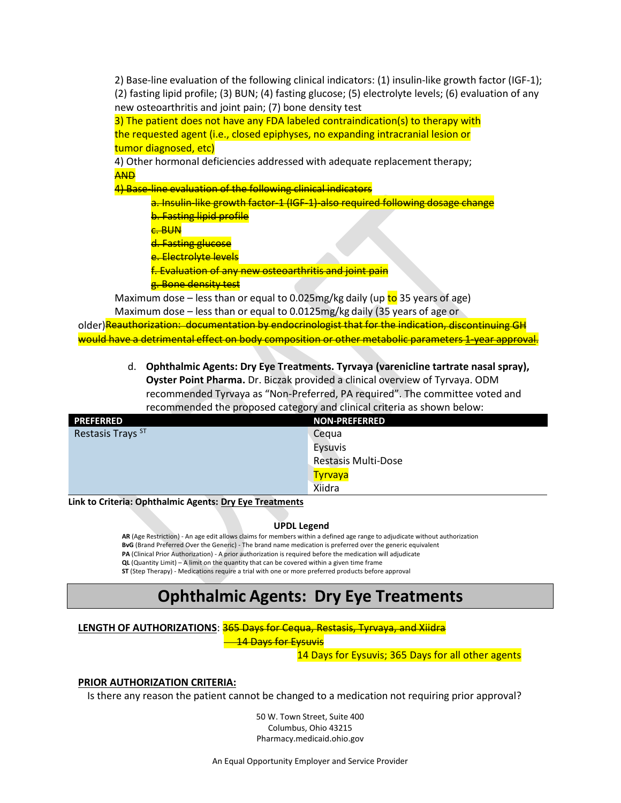2) Base-line evaluation of the following clinical indicators: (1) insulin-like growth factor (IGF-1); (2) fasting lipid profile; (3) BUN; (4) fasting glucose; (5) electrolyte levels; (6) evaluation of any new osteoarthritis and joint pain; (7) bone density test

3) The patient does not have any FDA labeled contraindication(s) to therapy with the requested agent (i.e., closed epiphyses, no expanding intracranial lesion or tumor diagnosed, etc)

4) Other hormonal deficiencies addressed with adequate replacement therapy; AND

4) Base-line evaluation of the following clinical indicators

a. Insulin-like growth factor-1 (IGF-1)-also required following dosage change **b. Fasting lipid profile** 

c. BUN

d. Fasting glucose

e. Electrolyte levels

f. Evaluation of any new osteoarthritis and joint pain

g. Bone density test

Maximum dose – less than or equal to 0.025mg/kg daily (up  $\frac{1}{10}$  35 years of age)

Maximum dose – less than or equal to 0.0125mg/kg daily (35 years of age or

older) Reauthorization: documentation by endocrinologist that for the indication, discontinuing GH would have a detrimental effect on body composition or other metabolic parameters 1-year approval.

> d. **Ophthalmic Agents: Dry Eye Treatments. Tyrvaya (varenicline tartrate nasal spray), Oyster Point Pharma.** Dr. Biczak provided a clinical overview of Tyrvaya. ODM recommended Tyrvaya as "Non-Preferred, PA required". The committee voted and recommended the proposed category and clinical criteria as shown below:

| <b>PREFERRED</b>  | <b>NON-PREFERRED</b>       |
|-------------------|----------------------------|
| Restasis Trays ST | Cequa                      |
|                   | <b>Eysuvis</b>             |
|                   | <b>Restasis Multi-Dose</b> |
|                   | <b>Tyrvaya</b>             |
|                   | <b>Xiidra</b>              |

**Link to Criteria: Ophthalmic Agents: Dry Eye Treatments**

#### **UPDL Legend**

**AR** (Age Restriction) - An age edit allows claims for members within a defined age range to adjudicate without authorization **BvG** (Brand Preferred Over the Generic) - The brand name medication is preferred over the generic equivalent **PA** (Clinical Prior Authorization) - A prior authorization is required before the medication will adjudicate

**QL** (Quantity Limit) – A limit on the quantity that can be covered within a given time frame

**ST** (Step Therapy) - Medications require a trial with one or more preferred products before approval

## **Ophthalmic Agents: Dry Eye Treatments**

#### **LENGTH OF AUTHORIZATIONS**: 365 Days for Cequa, Restasis, Tyrvaya, and Xiidra

**14 Days for Eysuvis** 

14 Days for Eysuvis; 365 Days for all other agents

#### **PRIOR AUTHORIZATION CRITERIA:**

Is there any reason the patient cannot be changed to a medication not requiring prior approval?

50 W. Town Street, Suite 400 Columbus, Ohio 43215 Pharmacy.medicaid.ohio.gov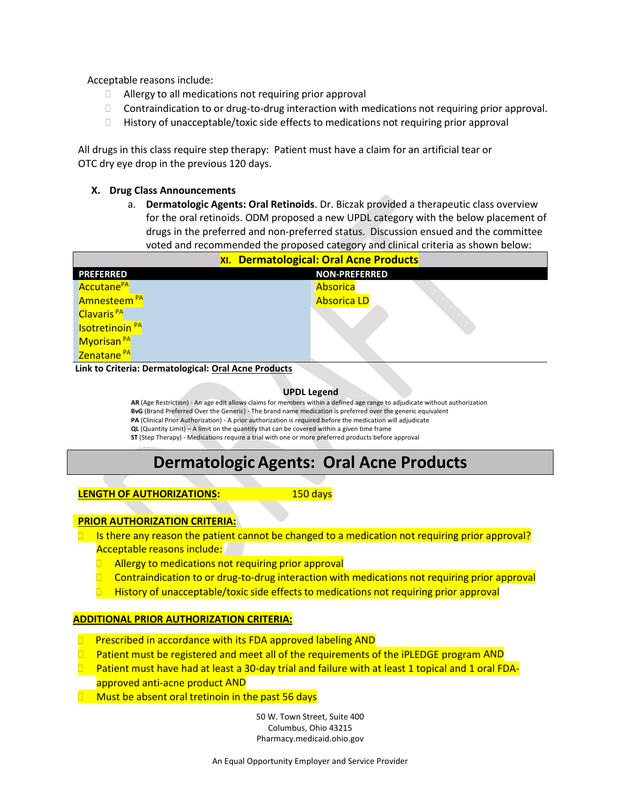Acceptable reasons include:

- Allergy to all medications not requiring prior approval
- $\Box$  Contraindication to or drug-to-drug interaction with medications not requiring prior approval.
- History of unacceptable/toxic side effects to medications not requiring prior approval

All drugs in this class require step therapy: Patient must have a claim for an artificial tear or OTC dry eye drop in the previous 120 days.

#### **X. Drug Class Announcements**

a. **Dermatologic Agents: Oral Retinoids**. Dr. Biczak provided a therapeutic class overview for the oral retinoids. ODM proposed a new UPDL category with the below placement of drugs in the preferred and non-preferred status. Discussion ensued and the committee voted and recommended the proposed category and clinical criteria as shown below:

| XI. Dermatological: Oral Acne Products |                      |
|----------------------------------------|----------------------|
| <b>PREFERRED</b>                       | <b>NON-PREFERRED</b> |
| Accutane <sup>PA</sup>                 | Absorica             |
| Amnesteem <sup>PA</sup>                | <b>Absorica LD</b>   |
| Clavaris <sup>PA</sup>                 |                      |
| <b>Isotretinoin<sup>PA</sup></b>       |                      |
| Myorisan <sup>PA</sup>                 |                      |
| Zenatane <sup>PA</sup>                 |                      |

**Link to Criteria: Dermatological: Oral Acne Products**

#### **UPDL Legend**

**AR** (Age Restriction) - An age edit allows claims for members within a defined age range to adjudicate without authorization **BvG** (Brand Preferred Over the Generic) - The brand name medication is preferred over the generic equivalent **PA** (Clinical Prior Authorization) - A prior authorization is required before the medication will adjudicate

**QL** (Quantity Limit) – A limit on the quantity that can be covered within a given time frame

**ST** (Step Therapy) - Medications require a trial with one or more preferred products before approval

## **Dermatologic Agents: Oral Acne Products**

#### **LENGTH OF AUTHORIZATIONS:** 150 days

#### **PRIOR AUTHORIZATION CRITERIA:**

 Is there any reason the patient cannot be changed to a medication not requiring prior approval? Acceptable reasons include:

- Allergy to medications not requiring prior approval
- Contraindication to or drug-to-drug interaction with medications not requiring prior approval
- History of unacceptable/toxic side effects to medications not requiring prior approval

#### **ADDITIONAL PRIOR AUTHORIZATION CRITERIA:**

- **Prescribed in accordance with its FDA approved labeling AND**
- Patient must be registered and meet all of the requirements of the iPLEDGE program AND
- **Patient must have had at least a 30-day trial and failure with at least 1 topical and 1 oral FDA**approved anti-acne product AND
- $\Box$  Must be absent oral tretinoin in the past 56 days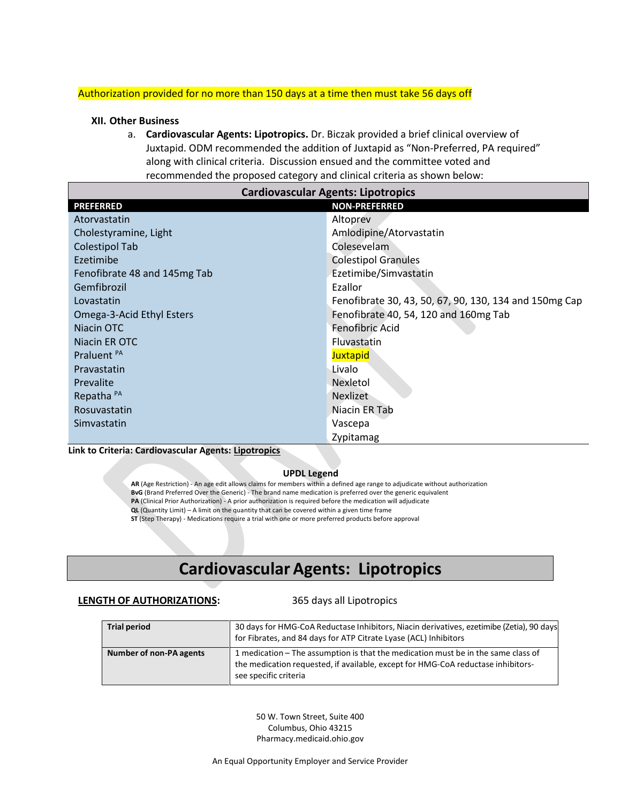#### Authorization provided for no more than 150 days at a time then must take 56 days off

#### **XII. Other Business**

a. **Cardiovascular Agents: Lipotropics.** Dr. Biczak provided a brief clinical overview of Juxtapid. ODM recommended the addition of Juxtapid as "Non-Preferred, PA required" along with clinical criteria. Discussion ensued and the committee voted and recommended the proposed category and clinical criteria as shown below:

| <b>Cardiovascular Agents: Lipotropics</b> |                                                        |  |
|-------------------------------------------|--------------------------------------------------------|--|
| <b>PREFERRED</b>                          | <b>NON-PREFERRED</b>                                   |  |
| Atorvastatin                              | Altoprev                                               |  |
| Cholestyramine, Light                     | Amlodipine/Atorvastatin                                |  |
| <b>Colestipol Tab</b>                     | Colesevelam                                            |  |
| Ezetimibe                                 | <b>Colestipol Granules</b>                             |  |
| Fenofibrate 48 and 145mg Tab              | Ezetimibe/Simvastatin                                  |  |
| Gemfibrozil                               | Ezallor                                                |  |
| Lovastatin                                | Fenofibrate 30, 43, 50, 67, 90, 130, 134 and 150mg Cap |  |
| Omega-3-Acid Ethyl Esters                 | Fenofibrate 40, 54, 120 and 160mg Tab                  |  |
| Niacin OTC                                | Fenofibric Acid                                        |  |
| Niacin ER OTC                             | Fluvastatin                                            |  |
| Praluent <sup>PA</sup>                    | <b>Juxtapid</b>                                        |  |
| Pravastatin                               | Livalo                                                 |  |
| Prevalite                                 | Nexletol                                               |  |
| Repatha <sup>PA</sup>                     | <b>Nexlizet</b>                                        |  |
| Rosuvastatin                              | Niacin ER Tab                                          |  |
| Simvastatin                               | Vascepa                                                |  |
|                                           | Zypitamag                                              |  |

**Link to Criteria: Cardiovascular Agents: Lipotropics**

#### **UPDL Legend**

**AR** (Age Restriction) - An age edit allows claims for members within a defined age range to adjudicate without authorization **BvG** (Brand Preferred Over the Generic) - The brand name medication is preferred over the generic equivalent **PA** (Clinical Prior Authorization) - A prior authorization is required before the medication will adjudicate **QL** (Quantity Limit) – A limit on the quantity that can be covered within a given time frame **ST** (Step Therapy) - Medications require a trial with one or more preferred products before approval

## **CardiovascularAgents: Lipotropics**

#### **LENGTH OF AUTHORIZATIONS:** 365 days all Lipotropics

| <b>Trial period</b>     | 30 days for HMG-CoA Reductase Inhibitors, Niacin derivatives, ezetimibe (Zetia), 90 days<br>for Fibrates, and 84 days for ATP Citrate Lyase (ACL) Inhibitors                                   |
|-------------------------|------------------------------------------------------------------------------------------------------------------------------------------------------------------------------------------------|
| Number of non-PA agents | 1 medication – The assumption is that the medication must be in the same class of<br>the medication requested, if available, except for HMG-CoA reductase inhibitors-<br>see specific criteria |

50 W. Town Street, Suite 400 Columbus, Ohio 43215 Pharmacy.medicaid.ohio.gov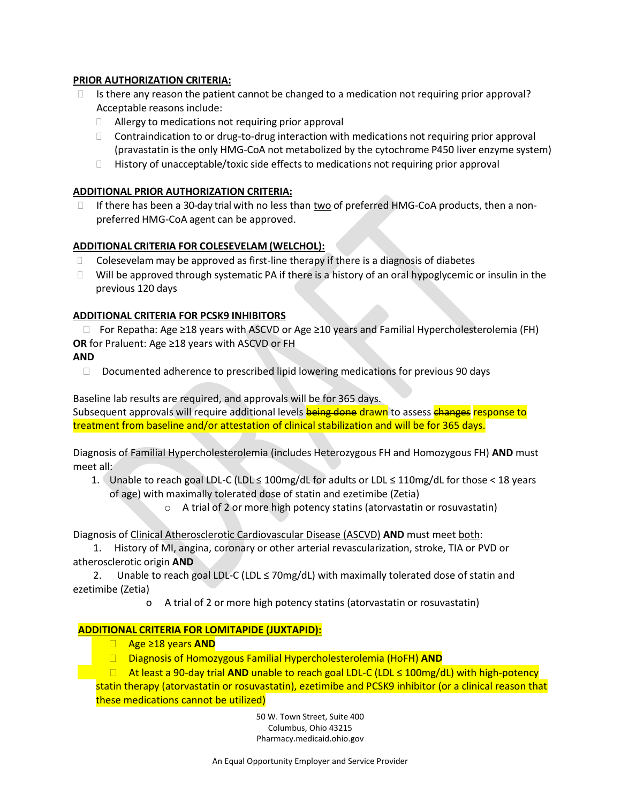#### **PRIOR AUTHORIZATION CRITERIA:**

- $\Box$  Is there any reason the patient cannot be changed to a medication not requiring prior approval? Acceptable reasons include:
	- Allergy to medications not requiring prior approval
	- $\Box$  Contraindication to or drug-to-drug interaction with medications not requiring prior approval (pravastatin is the only HMG-CoA not metabolized by the cytochrome P450 liver enzyme system)
	- History of unacceptable/toxic side effects to medications not requiring prior approval

#### **ADDITIONAL PRIOR AUTHORIZATION CRITERIA:**

If there has been a 30-day trial with no less than  $\underline{two}$  of preferred HMG-CoA products, then a nonpreferred HMG-CoA agent can be approved.

#### **ADDITIONAL CRITERIA FOR COLESEVELAM (WELCHOL):**

- $\Box$  Colesevelam may be approved as first-line therapy if there is a diagnosis of diabetes
- $\Box$  Will be approved through systematic PA if there is a history of an oral hypoglycemic or insulin in the previous 120 days

#### **ADDITIONAL CRITERIA FOR PCSK9 INHIBITORS**

 For Repatha: Age ≥18 years with ASCVD or Age ≥10 years and Familial Hypercholesterolemia (FH) **OR** for Praluent: Age ≥18 years with ASCVD or FH

**AND**

 $\Box$  Documented adherence to prescribed lipid lowering medications for previous 90 days

Baseline lab results are required, and approvals will be for 365 days.

Subsequent approvals will require additional levels being done drawn to assess changes response to treatment from baseline and/or attestation of clinical stabilization and will be for 365 days.

Diagnosis of Familial Hypercholesterolemia (includes Heterozygous FH and Homozygous FH) **AND** must meet all:

- 1. Unable to reach goal LDL-C (LDL ≤ 100mg/dL for adults or LDL ≤ 110mg/dL for those < 18 years of age) with maximally tolerated dose of statin and ezetimibe (Zetia)
	- o A trial of 2 or more high potency statins (atorvastatin or rosuvastatin)

Diagnosis of Clinical Atherosclerotic Cardiovascular Disease (ASCVD) **AND** must meet both:

 1. History of MI, angina, coronary or other arterial revascularization, stroke, TIA or PVD or atherosclerotic origin **AND**

2. Unable to reach goal LDL-C (LDL  $\leq$  70mg/dL) with maximally tolerated dose of statin and ezetimibe (Zetia)

o A trial of 2 or more high potency statins (atorvastatin or rosuvastatin)

#### **ADDITIONAL CRITERIA FOR LOMITAPIDE (JUXTAPID):**

- Age ≥18 years **AND**
- Diagnosis of Homozygous Familial Hypercholesterolemia (HoFH) **AND**

 At least a 90-day trial **AND** unable to reach goal LDL-C (LDL ≤ 100mg/dL) with high-potency statin therapy (atorvastatin or rosuvastatin), ezetimibe and PCSK9 inhibitor (or a clinical reason that these medications cannot be utilized)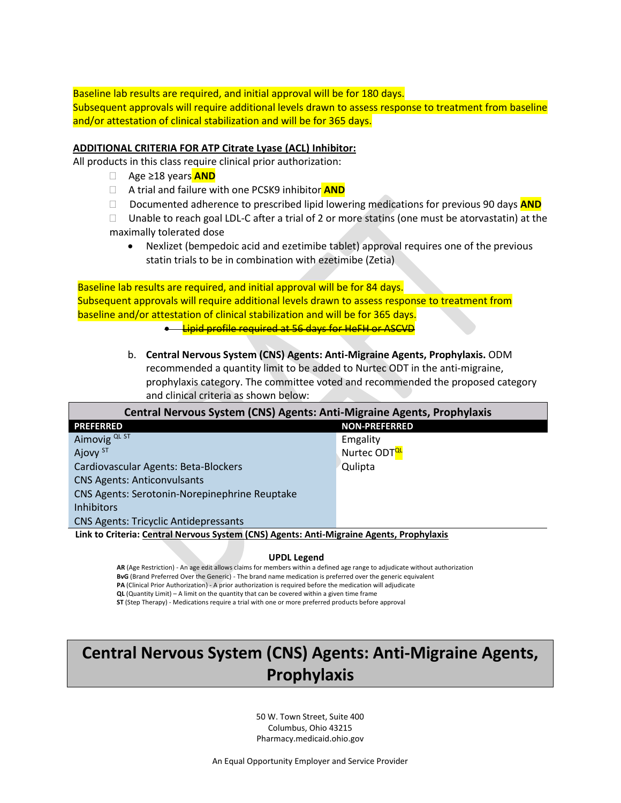Baseline lab results are required, and initial approval will be for 180 days. Subsequent approvals will require additional levels drawn to assess response to treatment from baseline and/or attestation of clinical stabilization and will be for 365 days.

#### **ADDITIONAL CRITERIA FOR ATP Citrate Lyase (ACL) Inhibitor:**

All products in this class require clinical prior authorization:

- Age ≥18 years **AND**
- A trial and failure with one PCSK9 inhibitor **AND**
- Documented adherence to prescribed lipid lowering medications for previous 90 days **AND**
- $\Box$  Unable to reach goal LDL-C after a trial of 2 or more statins (one must be atorvastatin) at the maximally tolerated dose
	- Nexlizet (bempedoic acid and ezetimibe tablet) approval requires one of the previous statin trials to be in combination with ezetimibe (Zetia)

Baseline lab results are required, and initial approval will be for 84 days. Subsequent approvals will require additional levels drawn to assess response to treatment from baseline and/or attestation of clinical stabilization and will be for 365 days.

- Lipid profile required at 56 days for HeFH or ASCVD
- b. **Central Nervous System (CNS) Agents: Anti-Migraine Agents, Prophylaxis.** ODM recommended a quantity limit to be added to Nurtec ODT in the anti-migraine, prophylaxis category. The committee voted and recommended the proposed category and clinical criteria as shown below:

**Central Nervous System (CNS) Agents: Anti-Migraine Agents, Prophylaxis PREFERRED NON-PREFERRED** Aimovig QL ST Emgality Ajovy <sup>ST</sup> Nurtec ODT<sup>QL</sup> Cardiovascular Agents: Beta-Blockers Cardiovascular Agents: Beta-Blockers CNS Agents: Anticonvulsants CNS Agents: Serotonin-Norepinephrine Reuptake Inhibitors CNS Agents: Tricyclic Antidepressants

**Link to Criteria: Central Nervous System (CNS) Agents: Anti-Migraine Agents, Prophylaxis**

#### **UPDL Legend**

**AR** (Age Restriction) - An age edit allows claims for members within a defined age range to adjudicate without authorization **BvG** (Brand Preferred Over the Generic) - The brand name medication is preferred over the generic equivalent **PA** (Clinical Prior Authorization) - A prior authorization is required before the medication will adjudicate **QL** (Quantity Limit) – A limit on the quantity that can be covered within a given time frame **ST** (Step Therapy) - Medications require a trial with one or more preferred products before approval

## **Central Nervous System (CNS) Agents: Anti-Migraine Agents, Prophylaxis**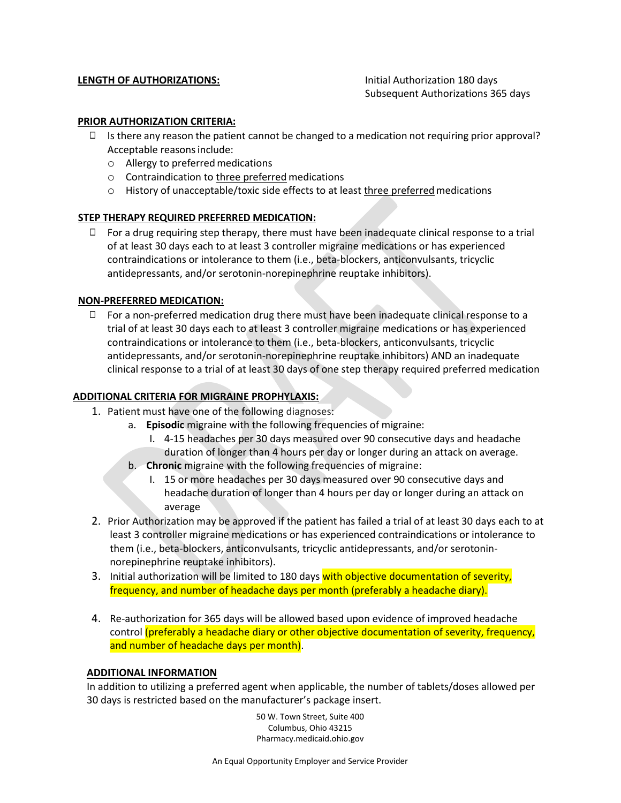#### **LENGTH OF AUTHORIZATIONS:** Initial Authorization 180 days

Subsequent Authorizations 365 days

#### **PRIOR AUTHORIZATION CRITERIA:**

- □ Is there any reason the patient cannot be changed to a medication not requiring prior approval? Acceptable reasons include:
	- o Allergy to preferredmedications
	- o Contraindication to three preferred medications
	- $\circ$  History of unacceptable/toxic side effects to at least three preferred medications

#### **STEP THERAPY REQUIRED PREFERRED MEDICATION:**

 $\Box$  For a drug requiring step therapy, there must have been inadequate clinical response to a trial of at least 30 days each to at least 3 controller migraine medications or has experienced contraindications or intolerance to them (i.e., beta-blockers, anticonvulsants, tricyclic antidepressants, and/or serotonin-norepinephrine reuptake inhibitors).

#### **NON-PREFERRED MEDICATION:**

 $\Box$  For a non-preferred medication drug there must have been inadequate clinical response to a trial of at least 30 days each to at least 3 controller migraine medications or has experienced contraindications or intolerance to them (i.e., beta-blockers, anticonvulsants, tricyclic antidepressants, and/or serotonin-norepinephrine reuptake inhibitors) AND an inadequate clinical response to a trial of at least 30 days of one step therapy required preferred medication

#### **ADDITIONAL CRITERIA FOR MIGRAINE PROPHYLAXIS:**

- 1. Patient must have one of the following diagnoses:
	- a. **Episodic** migraine with the following frequencies of migraine:
		- I. 4-15 headaches per 30 days measured over 90 consecutive days and headache duration of longer than 4 hours per day or longer during an attack on average.
	- b. **Chronic** migraine with the following frequencies of migraine:
		- I. 15 or more headaches per 30 days measured over 90 consecutive days and headache duration of longer than 4 hours per day or longer during an attack on average
- 2. Prior Authorization may be approved if the patient has failed a trial of at least 30 days each to at least 3 controller migraine medications or has experienced contraindications or intolerance to them (i.e., beta-blockers, anticonvulsants, tricyclic antidepressants, and/or serotoninnorepinephrine reuptake inhibitors).
- 3. Initial authorization will be limited to 180 days with objective documentation of severity, frequency, and number of headache days per month (preferably a headache diary).
- 4. Re-authorization for 365 days will be allowed based upon evidence of improved headache control (preferably a headache diary or other objective documentation of severity, frequency, and number of headache days per month).

#### **ADDITIONAL INFORMATION**

In addition to utilizing a preferred agent when applicable, the number of tablets/doses allowed per 30 days is restricted based on the manufacturer's package insert.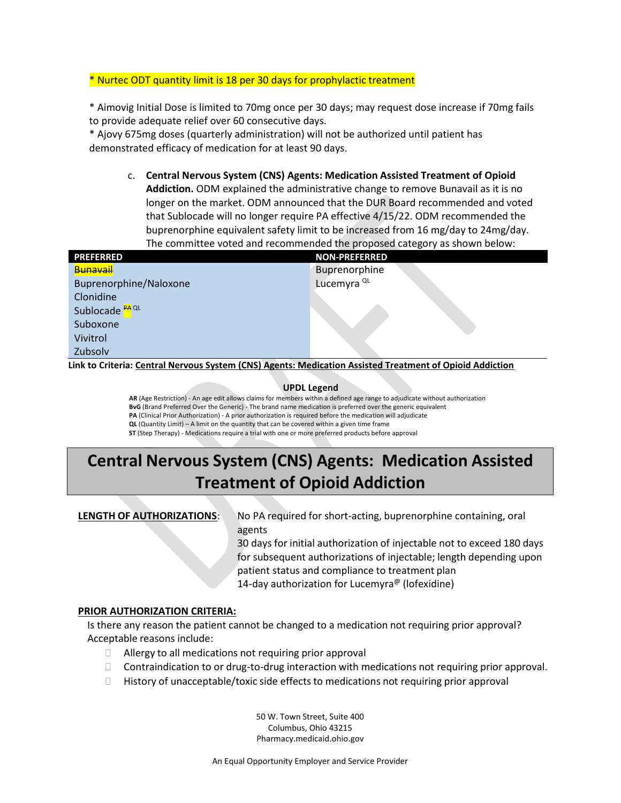#### \* Nurtec ODT quantity limit is 18 per 30 days for prophylactic treatment

\* Aimovig Initial Dose is limited to 70mg once per 30 days; may request dose increase if 70mg fails to provide adequate relief over 60 consecutive days.

\* Ajovy 675mg doses (quarterly administration) will not be authorized until patient has demonstrated efficacy of medication for at least 90 days.

c. **Central Nervous System (CNS) Agents: Medication Assisted Treatment of Opioid Addiction.** ODM explained the administrative change to remove Bunavail as it is no longer on the market. ODM announced that the DUR Board recommended and voted that Sublocade will no longer require PA effective 4/15/22. ODM recommended the buprenorphine equivalent safety limit to be increased from 16 mg/day to 24mg/day. The committee voted and recommended the proposed category as shown below:

| <b>PREFERRED</b>          | <b>NON-PREFERRED</b>   |
|---------------------------|------------------------|
| Bunavail                  | Buprenorphine          |
| Buprenorphine/Naloxone    | Lucemyra <sup>QL</sup> |
| Clonidine                 |                        |
| Sublocade <sup>PAQL</sup> |                        |
| Suboxone                  |                        |
| Vivitrol                  |                        |
| Zubsolv                   |                        |

**Link to Criteria[: Central Nervous System \(CNS\) Agents: Medication Assisted Treatment of Opioid Addiction](https://pharmacy.medicaid.ohio.gov/sites/default/files/20220101_UPDL_Criteria_Final.pdf#page=34)**

#### **UPDL Legend**

**AR** (Age Restriction) - An age edit allows claims for members within a defined age range to adjudicate without authorization **BvG** (Brand Preferred Over the Generic) - The brand name medication is preferred over the generic equivalent **PA** (Clinical Prior Authorization) - A prior authorization is required before the medication will adjudicate **QL** (Quantity Limit) – A limit on the quantity that can be covered within a given time frame **ST** (Step Therapy) - Medications require a trial with one or more preferred products before approval

# **Central Nervous System (CNS) Agents: Medication Assisted Treatment of Opioid Addiction**

**LENGTH OF AUTHORIZATIONS:** No PA required for short-acting, buprenorphine containing, oral agents

> 30 days for initial authorization of injectable not to exceed 180 days for subsequent authorizations of injectable; length depending upon patient status and compliance to treatment plan 14-day authorization for Lucemyra<sup>@</sup> (lofexidine)

#### **PRIOR AUTHORIZATION CRITERIA:**

Is there any reason the patient cannot be changed to a medication not requiring prior approval? Acceptable reasons include:

- □ Allergy to all medications not requiring prior approval
- Contraindication to or drug-to-drug interaction with medications not requiring prior approval.
- $\Box$  History of unacceptable/toxic side effects to medications not requiring prior approval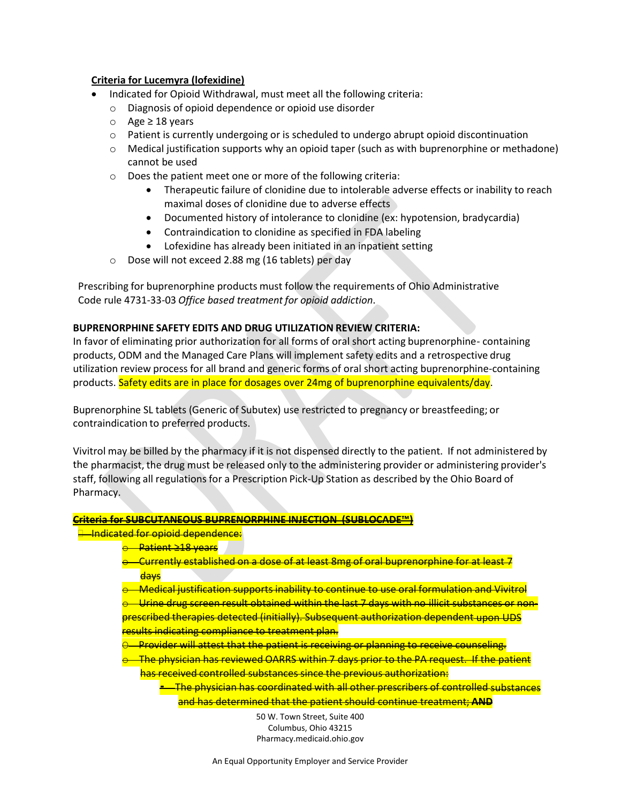#### **Criteria for Lucemyra (lofexidine)**

- Indicated for Opioid Withdrawal, must meet all the following criteria:
	- o Diagnosis of opioid dependence or opioid use disorder
	- o Age ≥ 18 years
	- $\circ$  Patient is currently undergoing or is scheduled to undergo abrupt opioid discontinuation
	- $\circ$  Medical justification supports why an opioid taper (such as with buprenorphine or methadone) cannot be used
	- o Does the patient meet one or more of the following criteria:
		- Therapeutic failure of clonidine due to intolerable adverse effects or inability to reach maximal doses of clonidine due to adverse effects
		- Documented history of intolerance to clonidine (ex: hypotension, bradycardia)
		- Contraindication to clonidine as specified in FDA labeling
		- Lofexidine has already been initiated in an inpatient setting
	- o Dose will not exceed 2.88 mg (16 tablets) per day

Prescribing for buprenorphine products must follow the requirements of Ohio Administrative Code rule 4731-33-03 *Office based treatment for opioid addiction*.

#### **BUPRENORPHINE SAFETY EDITS AND DRUG UTILIZATION REVIEW CRITERIA:**

In favor of eliminating prior authorization for all forms of oral short acting buprenorphine- containing products, ODM and the Managed Care Plans will implement safety edits and a retrospective drug utilization review process for all brand and generic forms of oral short acting buprenorphine-containing products. Safety edits are in place for dosages over 24mg of buprenorphine equivalents/day.

Buprenorphine SL tablets (Generic of Subutex) use restricted to pregnancy or breastfeeding; or contraindication to preferred products.

Vivitrol may be billed by the pharmacy if it is not dispensed directly to the patient. If not administered by the pharmacist, the drug must be released only to the administering provider or administering provider's staff, following all regulations for a Prescription Pick-Up Station as described by the Ohio Board of Pharmacy.

#### **Criteria for SUBCUTANEOUS BUPRENORPHINE INJECTION (SUBLOCADE™)**

<del>l - Indicated for opioid dependence:</del>

- <del>o Patient ≥18 years</del>
- $\odot$  Currently established on a dose of at least 8mg of oral buprenorphine for at least 7 days
- Medical justification supports inability to continue to use oral formulation and Vivitrol
- $\odot$  Urine drug screen result obtained within the last 7 days with no illicit substances or non-
- prescribed therapies detected (initially). Subsequent authorization dependent upon UDS results indicating compliance to treatment plan.
- O Provider will attest that the patient is receiving or planning to receive counseling.
- $\odot$  The physician has reviewed OARRS within 7 days prior to the PA request. If the patient has received controlled substances since the previous authorization:
	- The physician has coordinated with all other prescribers of controlled substances and has determined that the patient should continue treatment; **AND**

50 W. Town Street, Suite 400 Columbus, Ohio 43215 Pharmacy.medicaid.ohio.gov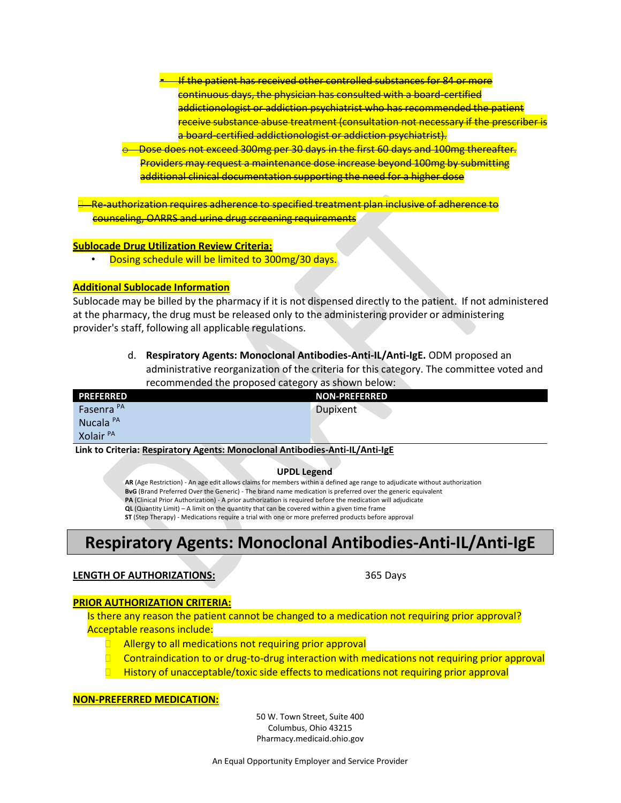If the patient has received other controlled substances for 84 or more continuous days, the physician has consulted with a board-certified addictionologist or addiction psychiatrist who has recommended the patient receive substance abuse treatment (consultation not necessary if the prescriber is a board-certified addictionologist or addiction psychiatrist).

Dose does not exceed 300mg per 30 days in the first 60 days and 100mg thereafter. Providers may request a maintenance dose increase beyond 100mg by submitting additional clinical documentation supporting the need for a higher dose

 Re-authorization requires adherence to specified treatment plan inclusive of adherence to counseling, OARRS and urine drug screening requirements

#### **Sublocade Drug Utilization Review Criteria:**

• Dosing schedule will be limited to 300mg/30 days.

#### **Additional Sublocade Information**

Sublocade may be billed by the pharmacy if it is not dispensed directly to the patient. If not administered at the pharmacy, the drug must be released only to the administering provider or administering provider's staff, following all applicable regulations.

> d. **Respiratory Agents: Monoclonal Antibodies-Anti-IL/Anti-IgE.** ODM proposed an administrative reorganization of the criteria for this category. The committee voted and recommended the proposed category as shown below:

| <b>PREFERRED</b>                                                                    | <b>NON-PREFERRED</b> |
|-------------------------------------------------------------------------------------|----------------------|
| Fasenra <sup>PA</sup>                                                               | Dupixent             |
| Nucala <sup>PA</sup>                                                                |                      |
| Xolair <sup>PA</sup>                                                                |                      |
| Lielche Culterier Despiratorum Annatori Monoglove Lielchedine, Arati II (Arati LeF) |                      |

**Link to Criteria: [Respiratory Agents: Monoclonal Antibodies-Anti-IL/Anti-IgE](https://pharmacy.medicaid.ohio.gov/sites/default/files/20220101_UPDL_Criteria_Final.pdf#page=93)**

#### **UPDL Legend**

**AR** (Age Restriction) - An age edit allows claims for members within a defined age range to adjudicate without authorization **BvG** (Brand Preferred Over the Generic) - The brand name medication is preferred over the generic equivalent **PA** (Clinical Prior Authorization) - A prior authorization is required before the medication will adjudicate **QL** (Quantity Limit) – A limit on the quantity that can be covered within a given time frame **ST** (Step Therapy) - Medications require a trial with one or more preferred products before approval

## **Respiratory Agents: Monoclonal Antibodies-Anti-IL/Anti-IgE**

#### **LENGTH OF AUTHORIZATIONS:** 365 Days

#### **PRIOR AUTHORIZATION CRITERIA:**

Is there any reason the patient cannot be changed to a medication not requiring prior approval? Acceptable reasons include:

- Allergy to all medications not requiring prior approval
- Contraindication to or drug-to-drug interaction with medications not requiring prior approval
- History of unacceptable/toxic side effects to medications not requiring prior approval

#### **NON-PREFERRED MEDICATION:**

50 W. Town Street, Suite 400 Columbus, Ohio 43215 Pharmacy.medicaid.ohio.gov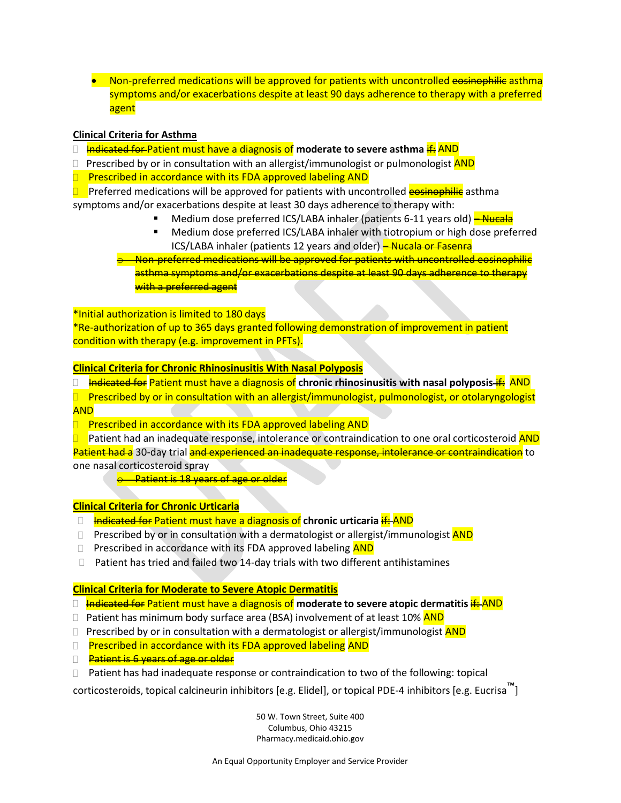• Non-preferred medications will be approved for patients with uncontrolled eosinophilic asthma symptoms and/or exacerbations despite at least 90 days adherence to therapy with a preferred agent

#### **Clinical Criteria for Asthma**

- **Indicated for Patient must have a diagnosis of moderate to severe asthma if:** AND
- $\Box$  Prescribed by or in consultation with an allergist/immunologist or pulmonologist  $\overline{AND}$
- $\Box$  Prescribed in accordance with its FDA approved labeling AND

**D** Preferred medications will be approved for patients with uncontrolled **egginophilic** asthma symptoms and/or exacerbations despite at least 30 days adherence to therapy with:

- Medium dose preferred ICS/LABA inhaler (patients 6-11 years old)  $\rightarrow$  Nucala
- Medium dose preferred ICS/LABA inhaler with tiotropium or high dose preferred ICS/LABA inhaler (patients 12 years and older) - Nucala or Fasenra

Non-preferred medications will be approved for patients with uncontrolled eosinophilic asthma symptoms and/or exacerbations despite at least 90 days adherence to therapy with a preferred agent

\*Initial authorization is limited to 180 days

\*Re-authorization of up to 365 days granted following demonstration of improvement in patient condition with therapy (e.g. improvement in PFTs).

#### **Clinical Criteria for Chronic Rhinosinusitis With Nasal Polyposis**

- **Indicated for Patient must have a diagnosis of chronic rhinosinusitis with nasal polyposis** *if:* **AND**
- **Prescribed by or in consultation with an allergist/immunologist, pulmonologist, or otolaryngologist** AND
- Prescribed in accordance with its FDA approved labeling AND

Patient had an inadequate response, intolerance or contraindication to one oral corticosteroid AND Patient had a 30-day trial and experienced an inadequate response, intolerance or contraindication to one nasal corticosteroid spray

**o** Patient is 18 years of age or older

#### **Clinical Criteria for Chronic Urticaria**

- Indicated for Patient must have a diagnosis of **chronic urticaria** if: AND
- **Prescribed by or in consultation with a dermatologist or allergist/immunologist AND**
- $\Box$  Prescribed in accordance with its FDA approved labeling  $AND$
- $\Box$  Patient has tried and failed two 14-day trials with two different antihistamines

#### **Clinical Criteria for Moderate to Severe Atopic Dermatitis**

- Indicated for Patient must have a diagnosis of **moderate to severe atopic dermatitis**if: AND
- $\Box$  Patient has minimum body surface area (BSA) involvement of at least 10% AND
- $\Box$  Prescribed by or in consultation with a dermatologist or allergist/immunologist AND
- **Prescribed in accordance with its FDA approved labeling AND**
- **Patient is 6 years of age or older**
- $\Box$  Patient has had inadequate response or contraindication to two of the following: topical

corticosteroids, topical calcineurin inhibitors [e.g. Elidel], or topical PDE-4 inhibitors [e.g. Eucrisa ™]